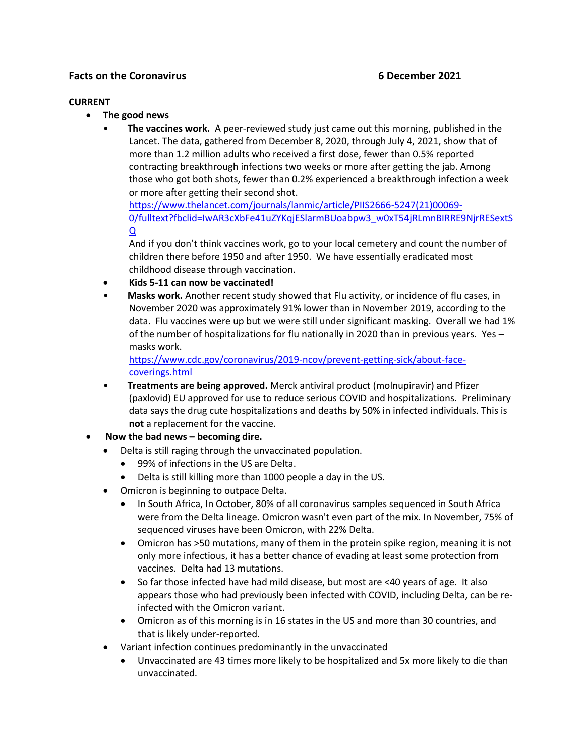# **Facts on the Coronavirus 6 December 2021**

## **CURRENT**

- **The good news**
	- **The vaccines work.** A peer-reviewed study just came out this morning, published in the Lancet. The data, gathered from December 8, 2020, through July 4, 2021, show that of more than 1.2 million adults who received a first dose, fewer than 0.5% reported contracting breakthrough infections two weeks or more after getting the jab. Among those who got both shots, fewer than 0.2% experienced a breakthrough infection a week or more after getting their second shot.

[https://www.thelancet.com/journals/lanmic/article/PIIS2666-5247\(21\)00069-](https://www.thelancet.com/journals/lanmic/article/PIIS2666-5247(21)00069-0/fulltext?fbclid=IwAR3cXbFe41uZYKqjESlarmBUoabpw3_w0xT54jRLmnBIRRE9NjrRESextSQ) [0/fulltext?fbclid=IwAR3cXbFe41uZYKqjESlarmBUoabpw3\\_w0xT54jRLmnBIRRE9NjrRESextS](https://www.thelancet.com/journals/lanmic/article/PIIS2666-5247(21)00069-0/fulltext?fbclid=IwAR3cXbFe41uZYKqjESlarmBUoabpw3_w0xT54jRLmnBIRRE9NjrRESextSQ) [Q](https://www.thelancet.com/journals/lanmic/article/PIIS2666-5247(21)00069-0/fulltext?fbclid=IwAR3cXbFe41uZYKqjESlarmBUoabpw3_w0xT54jRLmnBIRRE9NjrRESextSQ)

And if you don't think vaccines work, go to your local cemetery and count the number of children there before 1950 and after 1950. We have essentially eradicated most childhood disease through vaccination.

- **Kids 5-11 can now be vaccinated!**
- **Masks work.** Another recent study showed that Flu activity, or incidence of flu cases, in November 2020 was approximately 91% lower than in November 2019, according to the data. Flu vaccines were up but we were still under significant masking. Overall we had 1% of the number of hospitalizations for flu nationally in 2020 than in previous years. Yes – masks work.

[https://www.cdc.gov/coronavirus/2019-ncov/prevent-getting-sick/about-face](https://www.cdc.gov/coronavirus/2019-ncov/prevent-getting-sick/about-face-coverings.html)[coverings.html](https://www.cdc.gov/coronavirus/2019-ncov/prevent-getting-sick/about-face-coverings.html)

- **Treatments are being approved.** Merck antiviral product (molnupiravir) and Pfizer (paxlovid) EU approved for use to reduce serious COVID and hospitalizations. Preliminary data says the drug cute hospitalizations and deaths by 50% in infected individuals. This is **not** a replacement for the vaccine.
- **Now the bad news – becoming dire.**
	- Delta is still raging through the unvaccinated population.
		- 99% of infections in the US are Delta.
		- Delta is still killing more than 1000 people a day in the US.
	- Omicron is beginning to outpace Delta.
		- In South Africa, In October, 80% of all coronavirus samples sequenced in South Africa were from the Delta lineage. Omicron wasn't even part of the mix. In November, 75% of sequenced viruses have been Omicron, with 22% Delta.
		- Omicron has >50 mutations, many of them in the protein spike region, meaning it is not only more infectious, it has a better chance of evading at least some protection from vaccines. Delta had 13 mutations.
		- So far those infected have had mild disease, but most are <40 years of age. It also appears those who had previously been infected with COVID, including Delta, can be reinfected with the Omicron variant.
		- Omicron as of this morning is in 16 states in the US and more than 30 countries, and that is likely under-reported.
	- Variant infection continues predominantly in the unvaccinated
		- Unvaccinated are 43 times more likely to be hospitalized and 5x more likely to die than unvaccinated.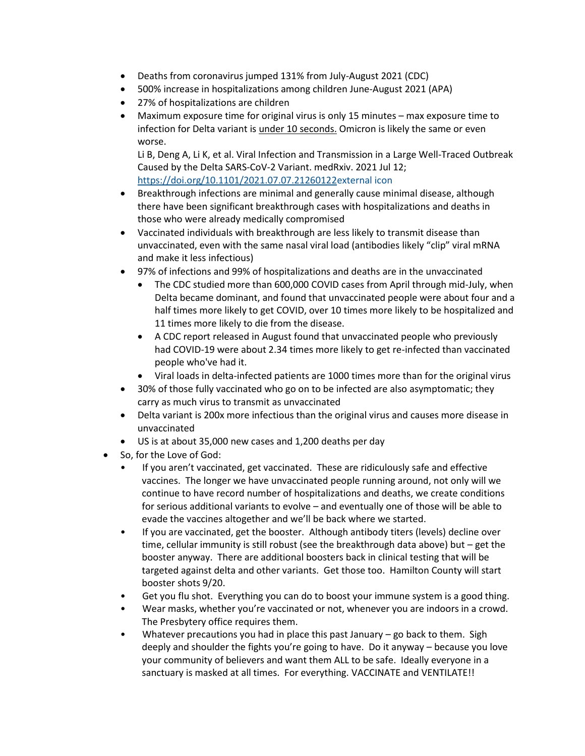- Deaths from coronavirus jumped 131% from July-August 2021 (CDC)
- 500% increase in hospitalizations among children June-August 2021 (APA)
- 27% of hospitalizations are children
- Maximum exposure time for original virus is only 15 minutes max exposure time to infection for Delta variant is under 10 seconds. Omicron is likely the same or even worse.

Li B, Deng A, Li K, et al. Viral Infection and Transmission in a Large Well-Traced Outbreak Caused by the Delta SARS-CoV-2 Variant. medRxiv. 2021 Jul 12; [https://doi.org/10.1101/2021.07.07.21260122external](https://doi.org/10.1101/2021.07.07.21260122) icon

- Breakthrough infections are minimal and generally cause minimal disease, although there have been significant breakthrough cases with hospitalizations and deaths in those who were already medically compromised
- Vaccinated individuals with breakthrough are less likely to transmit disease than unvaccinated, even with the same nasal viral load (antibodies likely "clip" viral mRNA and make it less infectious)
- 97% of infections and 99% of hospitalizations and deaths are in the unvaccinated
	- The CDC studied more than 600,000 COVID cases from April through mid-July, when Delta became dominant, and found that unvaccinated people were about four and a half times more likely to get COVID, over 10 times more likely to be hospitalized and 11 times more likely to die from the disease.
	- A CDC report released in August found that unvaccinated people who previously had COVID-19 were about 2.34 times more likely to get re-infected than vaccinated people who've had it.
	- Viral loads in delta-infected patients are 1000 times more than for the original virus
- 30% of those fully vaccinated who go on to be infected are also asymptomatic; they carry as much virus to transmit as unvaccinated
- Delta variant is 200x more infectious than the original virus and causes more disease in unvaccinated
- US is at about 35,000 new cases and 1,200 deaths per day
- So, for the Love of God:
	- If you aren't vaccinated, get vaccinated. These are ridiculously safe and effective vaccines. The longer we have unvaccinated people running around, not only will we continue to have record number of hospitalizations and deaths, we create conditions for serious additional variants to evolve – and eventually one of those will be able to evade the vaccines altogether and we'll be back where we started.
	- If you are vaccinated, get the booster. Although antibody titers (levels) decline over time, cellular immunity is still robust (see the breakthrough data above) but – get the booster anyway. There are additional boosters back in clinical testing that will be targeted against delta and other variants. Get those too. Hamilton County will start booster shots 9/20.
	- Get you flu shot. Everything you can do to boost your immune system is a good thing.
	- Wear masks, whether you're vaccinated or not, whenever you are indoors in a crowd. The Presbytery office requires them.
	- Whatever precautions you had in place this past January  $-$  go back to them. Sigh deeply and shoulder the fights you're going to have. Do it anyway – because you love your community of believers and want them ALL to be safe. Ideally everyone in a sanctuary is masked at all times. For everything. VACCINATE and VENTILATE!!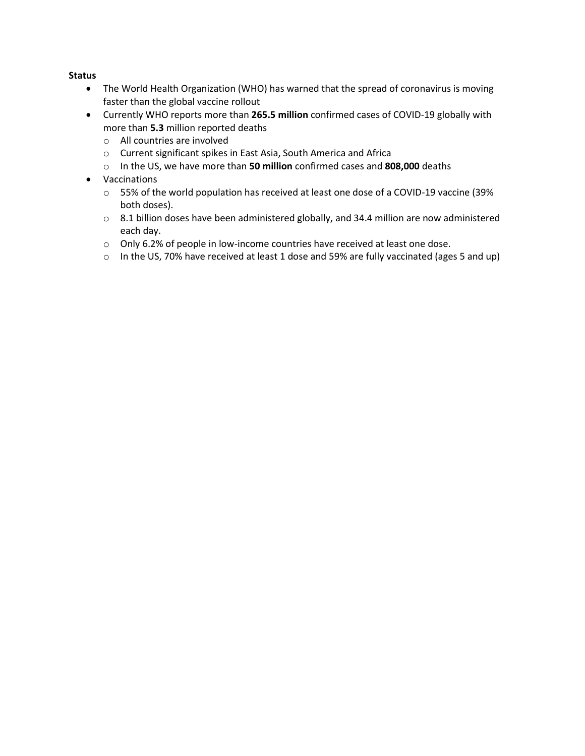## **Status**

- The World Health Organization (WHO) has warned that the spread of coronavirus is moving faster than the global vaccine rollout
- Currently WHO reports more than **265.5 million** confirmed cases of COVID-19 globally with more than **5.3** million reported deaths
	- o All countries are involved
	- o Current significant spikes in East Asia, South America and Africa
	- o In the US, we have more than **50 million** confirmed cases and **808,000** deaths
- Vaccinations
	- o 55% of the world population has received at least one dose of a COVID-19 vaccine (39% both doses).
	- o 8.1 billion doses have been administered globally, and 34.4 million are now administered each day.
	- o Only 6.2% of people in low-income countries have received at least one dose.
	- $\circ$  In the US, 70% have received at least 1 dose and 59% are fully vaccinated (ages 5 and up)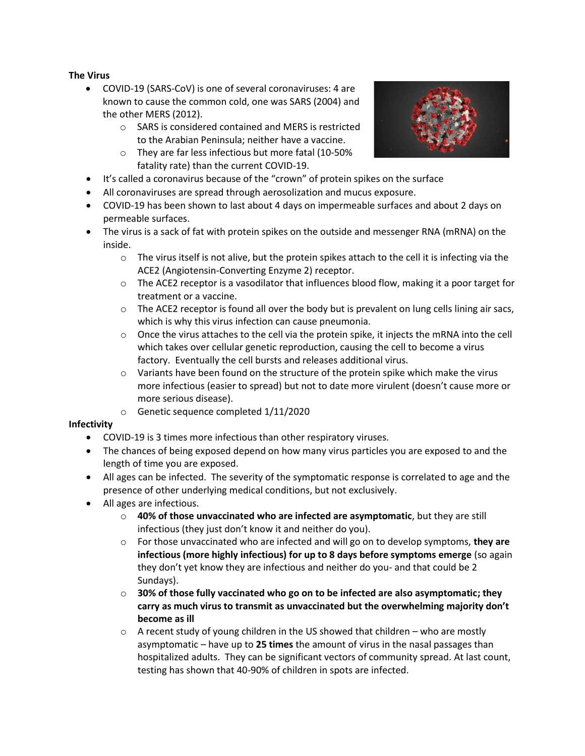## **The Virus**

- COVID-19 (SARS-CoV) is one of several coronaviruses: 4 are known to cause the common cold, one was SARS (2004) and the other MERS (2012).
	- o SARS is considered contained and MERS is restricted to the Arabian Peninsula; neither have a vaccine.
	- o They are far less infectious but more fatal (10-50% fatality rate) than the current COVID-19.
- It's called a coronavirus because of the "crown" of protein spikes on the surface
- All coronaviruses are spread through aerosolization and mucus exposure.
- COVID-19 has been shown to last about 4 days on impermeable surfaces and about 2 days on permeable surfaces.
- The virus is a sack of fat with protein spikes on the outside and messenger RNA (mRNA) on the inside.
	- $\circ$  The virus itself is not alive, but the protein spikes attach to the cell it is infecting via the ACE2 (Angiotensin-Converting Enzyme 2) receptor.
	- $\circ$  The ACE2 receptor is a vasodilator that influences blood flow, making it a poor target for treatment or a vaccine.
	- $\circ$  The ACE2 receptor is found all over the body but is prevalent on lung cells lining air sacs, which is why this virus infection can cause pneumonia.
	- $\circ$  Once the virus attaches to the cell via the protein spike, it injects the mRNA into the cell which takes over cellular genetic reproduction, causing the cell to become a virus factory. Eventually the cell bursts and releases additional virus.
	- $\circ$  Variants have been found on the structure of the protein spike which make the virus more infectious (easier to spread) but not to date more virulent (doesn't cause more or more serious disease).
	- o Genetic sequence completed 1/11/2020

## **Infectivity**

- COVID-19 is 3 times more infectious than other respiratory viruses.
- The chances of being exposed depend on how many virus particles you are exposed to and the length of time you are exposed.
- All ages can be infected. The severity of the symptomatic response is correlated to age and the presence of other underlying medical conditions, but not exclusively.
- All ages are infectious.
	- o **40% of those unvaccinated who are infected are asymptomatic**, but they are still infectious (they just don't know it and neither do you).
	- o For those unvaccinated who are infected and will go on to develop symptoms, **they are infectious (more highly infectious) for up to 8 days before symptoms emerge** (so again they don't yet know they are infectious and neither do you- and that could be 2 Sundays).
	- o **30% of those fully vaccinated who go on to be infected are also asymptomatic; they carry as much virus to transmit as unvaccinated but the overwhelming majority don't become as ill**
	- $\circ$  A recent study of young children in the US showed that children who are mostly asymptomatic – have up to **25 times** the amount of virus in the nasal passages than hospitalized adults. They can be significant vectors of community spread. At last count, testing has shown that 40-90% of children in spots are infected.

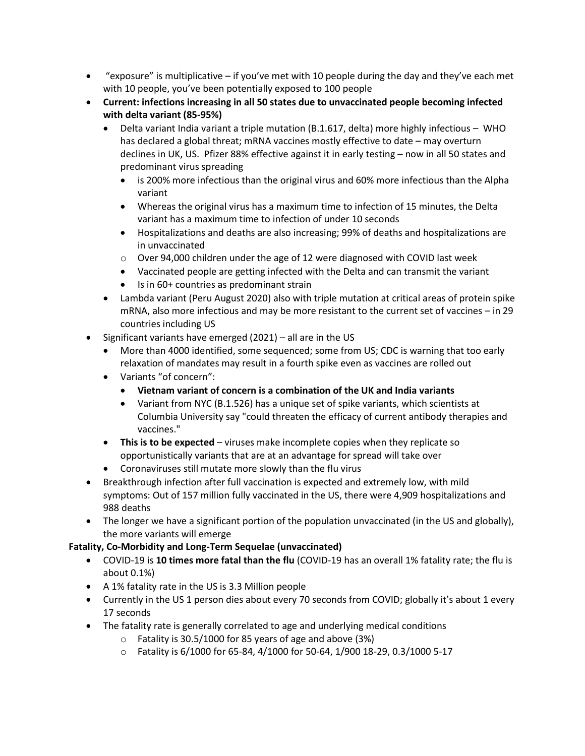- "exposure" is multiplicative if you've met with 10 people during the day and they've each met with 10 people, you've been potentially exposed to 100 people
- **Current: infections increasing in all 50 states due to unvaccinated people becoming infected with delta variant (85-95%)**
	- Delta variant India variant a triple mutation (B.1.617, delta) more highly infectious WHO has declared a global threat; mRNA vaccines mostly effective to date – may overturn declines in UK, US. Pfizer 88% effective against it in early testing – now in all 50 states and predominant virus spreading
		- is 200% more infectious than the original virus and 60% more infectious than the Alpha variant
		- Whereas the original virus has a maximum time to infection of 15 minutes, the Delta variant has a maximum time to infection of under 10 seconds
		- Hospitalizations and deaths are also increasing; 99% of deaths and hospitalizations are in unvaccinated
		- $\circ$  Over 94,000 children under the age of 12 were diagnosed with COVID last week
		- Vaccinated people are getting infected with the Delta and can transmit the variant
		- Is in 60+ countries as predominant strain
	- Lambda variant (Peru August 2020) also with triple mutation at critical areas of protein spike mRNA, also more infectious and may be more resistant to the current set of vaccines – in 29 countries including US
- Significant variants have emerged (2021) all are in the US
	- More than 4000 identified, some sequenced; some from US; CDC is warning that too early relaxation of mandates may result in a fourth spike even as vaccines are rolled out
	- Variants "of concern":
		- **Vietnam variant of concern is a combination of the UK and India variants**
		- Variant from NYC (B.1.526) has a unique set of spike variants, which scientists at Columbia University say "could threaten the efficacy of current antibody therapies and vaccines."
	- **This is to be expected** viruses make incomplete copies when they replicate so opportunistically variants that are at an advantage for spread will take over
	- Coronaviruses still mutate more slowly than the flu virus
- Breakthrough infection after full vaccination is expected and extremely low, with mild symptoms: Out of 157 million fully vaccinated in the US, there were 4,909 hospitalizations and 988 deaths
- The longer we have a significant portion of the population unvaccinated (in the US and globally), the more variants will emerge

# **Fatality, Co-Morbidity and Long-Term Sequelae (unvaccinated)**

- COVID-19 is **10 times more fatal than the flu** (COVID-19 has an overall 1% fatality rate; the flu is about 0.1%)
- A 1% fatality rate in the US is 3.3 Million people
- Currently in the US 1 person dies about every 70 seconds from COVID; globally it's about 1 every 17 seconds
- The fatality rate is generally correlated to age and underlying medical conditions
	- o Fatality is 30.5/1000 for 85 years of age and above (3%)
	- o Fatality is 6/1000 for 65-84, 4/1000 for 50-64, 1/900 18-29, 0.3/1000 5-17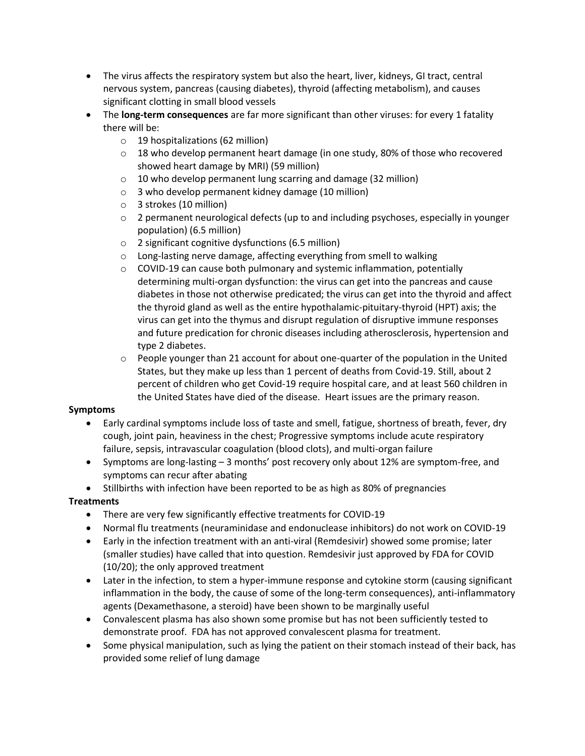- The virus affects the respiratory system but also the heart, liver, kidneys, GI tract, central nervous system, pancreas (causing diabetes), thyroid (affecting metabolism), and causes significant clotting in small blood vessels
- The **long-term consequences** are far more significant than other viruses: for every 1 fatality there will be:
	- o 19 hospitalizations (62 million)
	- $\circ$  18 who develop permanent heart damage (in one study, 80% of those who recovered showed heart damage by MRI) (59 million)
	- o 10 who develop permanent lung scarring and damage (32 million)
	- o 3 who develop permanent kidney damage (10 million)
	- o 3 strokes (10 million)
	- $\circ$  2 permanent neurological defects (up to and including psychoses, especially in younger population) (6.5 million)
	- o 2 significant cognitive dysfunctions (6.5 million)
	- o Long-lasting nerve damage, affecting everything from smell to walking
	- $\circ$  COVID-19 can cause both pulmonary and systemic inflammation, potentially determining multi-organ dysfunction: the virus can get into the pancreas and cause diabetes in those not otherwise predicated; the virus can get into the thyroid and affect the thyroid gland as well as the entire hypothalamic-pituitary-thyroid (HPT) axis; the virus can get into the thymus and disrupt regulation of disruptive immune responses and future predication for chronic diseases including atherosclerosis, hypertension and type 2 diabetes.
	- $\circ$  People younger than 21 account for about one-quarter of the population in the United States, but they make up less than 1 percent of deaths from Covid-19. Still, about 2 percent of children who get Covid-19 require hospital care, and at least 560 children in the United States have died of the disease. Heart issues are the primary reason.

## **Symptoms**

- Early cardinal symptoms include loss of taste and smell, fatigue, shortness of breath, fever, dry cough, joint pain, heaviness in the chest; Progressive symptoms include acute respiratory failure, sepsis, intravascular coagulation (blood clots), and multi-organ failure
- Symptoms are long-lasting 3 months' post recovery only about 12% are symptom-free, and symptoms can recur after abating
- Stillbirths with infection have been reported to be as high as 80% of pregnancies

# **Treatments**

- There are very few significantly effective treatments for COVID-19
- Normal flu treatments (neuraminidase and endonuclease inhibitors) do not work on COVID-19
- Early in the infection treatment with an anti-viral (Remdesivir) showed some promise; later (smaller studies) have called that into question. Remdesivir just approved by FDA for COVID (10/20); the only approved treatment
- Later in the infection, to stem a hyper-immune response and cytokine storm (causing significant inflammation in the body, the cause of some of the long-term consequences), anti-inflammatory agents (Dexamethasone, a steroid) have been shown to be marginally useful
- Convalescent plasma has also shown some promise but has not been sufficiently tested to demonstrate proof. FDA has not approved convalescent plasma for treatment.
- Some physical manipulation, such as lying the patient on their stomach instead of their back, has provided some relief of lung damage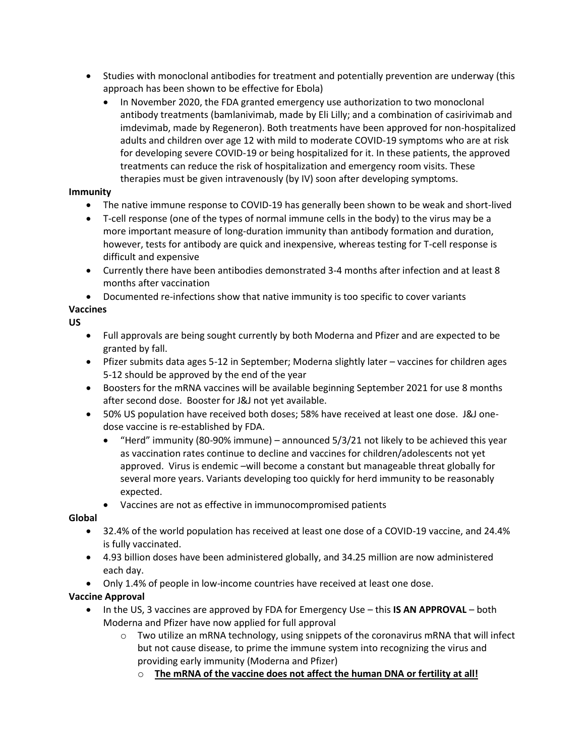- Studies with monoclonal antibodies for treatment and potentially prevention are underway (this approach has been shown to be effective for Ebola)
	- In November 2020, the FDA granted emergency use authorization to two monoclonal antibody treatments (bamlanivimab, made by Eli Lilly; and a combination of casirivimab and imdevimab, made by Regeneron). Both treatments have been approved for non-hospitalized adults and children over age 12 with mild to moderate COVID-19 symptoms who are at risk for developing severe COVID-19 or being hospitalized for it. In these patients, the approved treatments can reduce the risk of hospitalization and emergency room visits. These therapies must be given intravenously (by IV) soon after developing symptoms.

## **Immunity**

- The native immune response to COVID-19 has generally been shown to be weak and short-lived
- T-cell response (one of the types of normal immune cells in the body) to the virus may be a more important measure of long-duration immunity than antibody formation and duration, however, tests for antibody are quick and inexpensive, whereas testing for T-cell response is difficult and expensive
- Currently there have been antibodies demonstrated 3-4 months after infection and at least 8 months after vaccination
- Documented re-infections show that native immunity is too specific to cover variants

# **Vaccines**

# **US**

- Full approvals are being sought currently by both Moderna and Pfizer and are expected to be granted by fall.
- Pfizer submits data ages 5-12 in September; Moderna slightly later vaccines for children ages 5-12 should be approved by the end of the year
- Boosters for the mRNA vaccines will be available beginning September 2021 for use 8 months after second dose. Booster for J&J not yet available.
- 50% US population have received both doses; 58% have received at least one dose. J&J onedose vaccine is re-established by FDA.
	- "Herd" immunity (80-90% immune) announced 5/3/21 not likely to be achieved this year as vaccination rates continue to decline and vaccines for children/adolescents not yet approved. Virus is endemic –will become a constant but manageable threat globally for several more years. Variants developing too quickly for herd immunity to be reasonably expected.
	- Vaccines are not as effective in immunocompromised patients

# **Global**

- 32.4% of the world population has received at least one dose of a COVID-19 vaccine, and 24.4% is fully vaccinated.
- 4.93 billion doses have been administered globally, and 34.25 million are now administered each day.
- Only 1.4% of people in low-income countries have received at least one dose.

# **Vaccine Approval**

- In the US, 3 vaccines are approved by FDA for Emergency Use this **IS AN APPROVAL** both Moderna and Pfizer have now applied for full approval
	- $\circ$  Two utilize an mRNA technology, using snippets of the coronavirus mRNA that will infect but not cause disease, to prime the immune system into recognizing the virus and providing early immunity (Moderna and Pfizer)
		- o **The mRNA of the vaccine does not affect the human DNA or fertility at all!**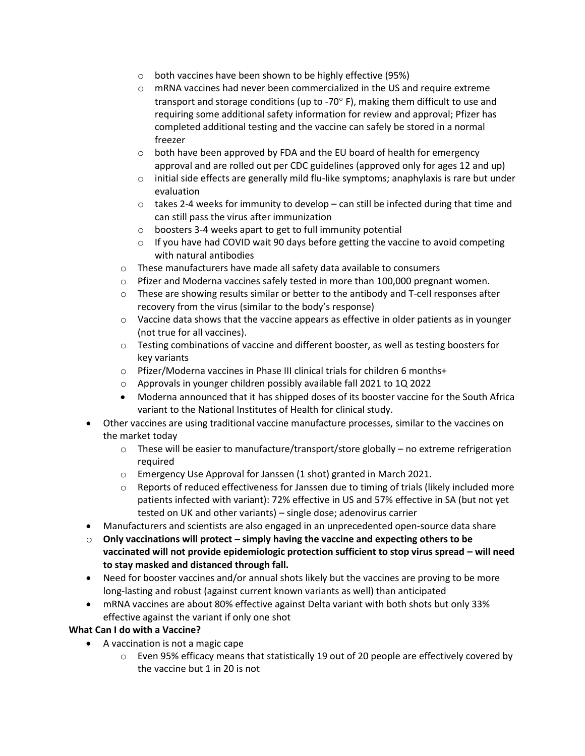- o both vaccines have been shown to be highly effective (95%)
- o mRNA vaccines had never been commercialized in the US and require extreme transport and storage conditions (up to -70 $\degree$  F), making them difficult to use and requiring some additional safety information for review and approval; Pfizer has completed additional testing and the vaccine can safely be stored in a normal freezer
- o both have been approved by FDA and the EU board of health for emergency approval and are rolled out per CDC guidelines (approved only for ages 12 and up)
- $\circ$  initial side effects are generally mild flu-like symptoms; anaphylaxis is rare but under evaluation
- $\circ$  takes 2-4 weeks for immunity to develop can still be infected during that time and can still pass the virus after immunization
- o boosters 3-4 weeks apart to get to full immunity potential
- $\circ$  If you have had COVID wait 90 days before getting the vaccine to avoid competing with natural antibodies
- o These manufacturers have made all safety data available to consumers
- $\circ$  Pfizer and Moderna vaccines safely tested in more than 100,000 pregnant women.
- $\circ$  These are showing results similar or better to the antibody and T-cell responses after recovery from the virus (similar to the body's response)
- $\circ$  Vaccine data shows that the vaccine appears as effective in older patients as in younger (not true for all vaccines).
- $\circ$  Testing combinations of vaccine and different booster, as well as testing boosters for key variants
- o Pfizer/Moderna vaccines in Phase III clinical trials for children 6 months+
- o Approvals in younger children possibly available fall 2021 to 1Q 2022
- Moderna announced that it has shipped doses of its booster vaccine for the South Africa variant to the National Institutes of Health for clinical study.
- Other vaccines are using traditional vaccine manufacture processes, similar to the vaccines on the market today
	- $\circ$  These will be easier to manufacture/transport/store globally no extreme refrigeration required
	- o Emergency Use Approval for Janssen (1 shot) granted in March 2021.
	- $\circ$  Reports of reduced effectiveness for Janssen due to timing of trials (likely included more patients infected with variant): 72% effective in US and 57% effective in SA (but not yet tested on UK and other variants) – single dose; adenovirus carrier
- Manufacturers and scientists are also engaged in an unprecedented open-source data share
- o **Only vaccinations will protect – simply having the vaccine and expecting others to be vaccinated will not provide epidemiologic protection sufficient to stop virus spread – will need to stay masked and distanced through fall.**
- Need for booster vaccines and/or annual shots likely but the vaccines are proving to be more long-lasting and robust (against current known variants as well) than anticipated
- mRNA vaccines are about 80% effective against Delta variant with both shots but only 33% effective against the variant if only one shot

# **What Can I do with a Vaccine?**

- A vaccination is not a magic cape
	- o Even 95% efficacy means that statistically 19 out of 20 people are effectively covered by the vaccine but 1 in 20 is not